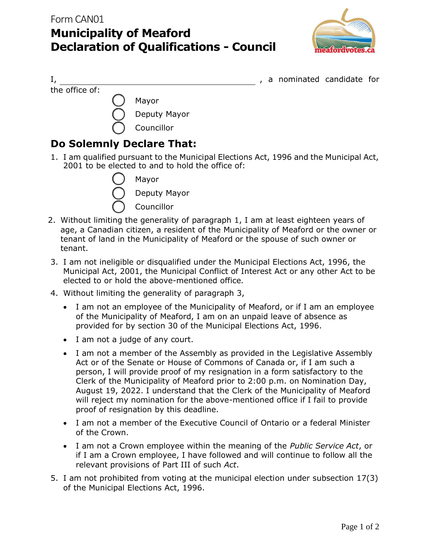

I, a nominated candidate for the office of: Mayor Deputy Mayor Councillor

## **Do Solemnly Declare That:**

1. I am qualified pursuant to the Municipal Elections Act, 1996 and the Municipal Act, 2001 to be elected to and to hold the office of:



Deputy Mayor

Councillor

- 2. Without limiting the generality of paragraph 1, I am at least eighteen years of age, a Canadian citizen, a resident of the Municipality of Meaford or the owner or tenant of land in the Municipality of Meaford or the spouse of such owner or tenant.
- 3. I am not ineligible or disqualified under the Municipal Elections Act, 1996, the Municipal Act, 2001, the Municipal Conflict of Interest Act or any other Act to be elected to or hold the above-mentioned office.
- 4. Without limiting the generality of paragraph 3,
	- I am not an employee of the Municipality of Meaford, or if I am an employee of the Municipality of Meaford, I am on an unpaid leave of absence as provided for by section 30 of the Municipal Elections Act, 1996.
	- I am not a judge of any court.
	- I am not a member of the Assembly as provided in the Legislative Assembly Act or of the Senate or House of Commons of Canada or, if I am such a person, I will provide proof of my resignation in a form satisfactory to the Clerk of the Municipality of Meaford prior to 2:00 p.m. on Nomination Day, August 19, 2022. I understand that the Clerk of the Municipality of Meaford will reject my nomination for the above-mentioned office if I fail to provide proof of resignation by this deadline.
	- I am not a member of the Executive Council of Ontario or a federal Minister of the Crown.
	- I am not a Crown employee within the meaning of the *Public Service Act*, or if I am a Crown employee, I have followed and will continue to follow all the relevant provisions of Part III of such *Act*.
- 5. I am not prohibited from voting at the municipal election under subsection 17(3) of the Municipal Elections Act, 1996.